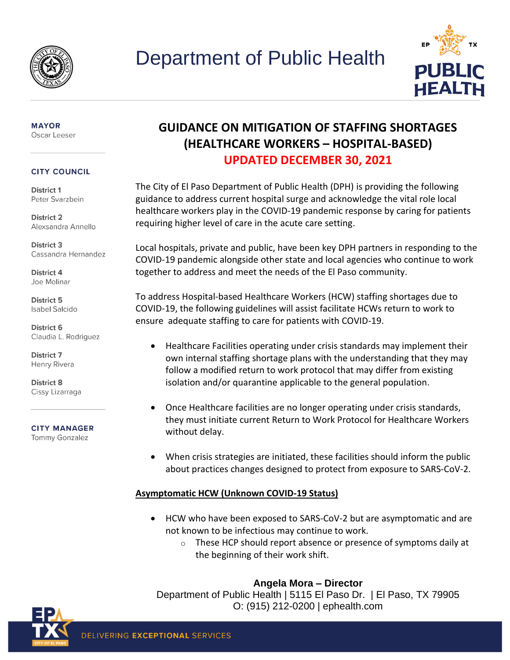



#### **MAYOR** Oscar Leeser

#### **CITY COUNCIL**

District 1 Peter Svarzbein

District 2 Alexsandra Annello

District 3 Cassandra Hernandez

District 4 Joe Molinar

District 5 **Isabel Salcido** 

District 6 Claudia L. Rodriguez

District 7 Henry Rivera

District 8 Cissy Lizarraga

**CITY MANAGER Tommy Gonzalez** 

## **GUIDANCE ON MITIGATION OF STAFFING SHORTAGES (HEALTHCARE WORKERS – HOSPITAL-BASED) UPDATED DECEMBER 30, 2021**

The City of El Paso Department of Public Health (DPH) is providing the following guidance to address current hospital surge and acknowledge the vital role local healthcare workers play in the COVID-19 pandemic response by caring for patients requiring higher level of care in the acute care setting.

Local hospitals, private and public, have been key DPH partners in responding to the COVID-19 pandemic alongside other state and local agencies who continue to work together to address and meet the needs of the El Paso community.

To address Hospital-based Healthcare Workers (HCW) staffing shortages due to COVID-19, the following guidelines will assist facilitate HCWs return to work to ensure adequate staffing to care for patients with COVID-19.

- Healthcare Facilities operating under crisis standards may implement their own internal staffing shortage plans with the understanding that they may follow a modified return to work protocol that may differ from existing isolation and/or quarantine applicable to the general population.
- Once Healthcare facilities are no longer operating under crisis standards, they must initiate current Return to Work Protocol for Healthcare Workers without delay.
- When crisis strategies are initiated, these facilities should inform the public about practices changes designed to protect from exposure to SARS-CoV-2.

#### **Asymptomatic HCW (Unknown COVID-19 Status)**

- HCW who have been exposed to SARS-CoV-2 but are asymptomatic and are not known to be infectious may continue to work.
	- $\circ$  These HCP should report absence or presence of symptoms daily at the beginning of their work shift.

#### **Angela Mora – Director**

Department of Public Health | 5115 El Paso Dr. | El Paso, TX 79905 O: (915) 212-0200 | ephealth.com

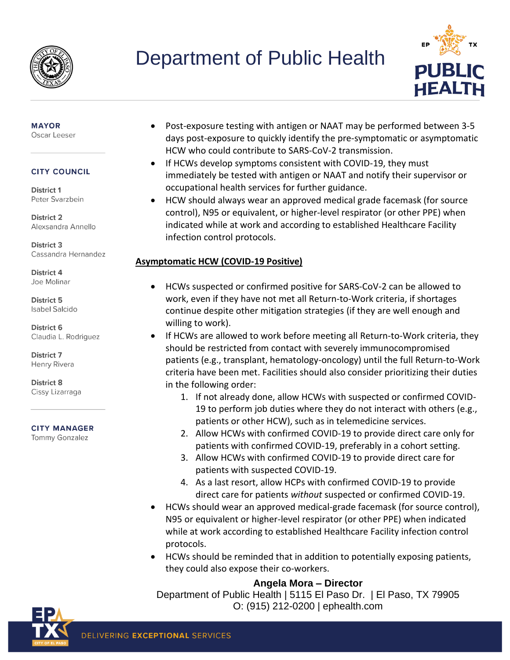

# Department of Public Health



#### **MAYOR** Oscar Leeser

#### **CITY COUNCIL**

District 1 Peter Svarzbein

**District 2** Alexsandra Annello

District 3 Cassandra Hernandez

District 4 Joe Molinar

District 5 **Isabel Salcido** 

District 6 Claudia L. Rodriguez

**District 7** Henry Rivera

District 8 Cissy Lizarraga

#### **CITY MANAGER**

**Tommy Gonzalez** 

- Post-exposure testing with antigen or NAAT may be performed between 3-5 days post-exposure to quickly identify the pre-symptomatic or asymptomatic HCW who could contribute to SARS-CoV-2 transmission.
- If HCWs develop symptoms consistent with COVID-19, they must immediately be tested with antigen or NAAT and notify their supervisor or occupational health services for further guidance.
- HCW should always wear an approved medical grade facemask (for source control), N95 or equivalent, or higher-level respirator (or other PPE) when indicated while at work and according to established Healthcare Facility infection control protocols.

### **Asymptomatic HCW (COVID-19 Positive)**

- HCWs suspected or confirmed positive for SARS-CoV-2 can be allowed to work, even if they have not met all Return-to-Work criteria, if shortages continue despite other mitigation strategies (if they are well enough and willing to work).
- If HCWs are allowed to work before meeting all Return-to-Work criteria, they should be restricted from contact with severely immunocompromised patients (e.g., transplant, hematology-oncology) until the full Return-to-Work criteria have been met. Facilities should also consider prioritizing their duties in the following order:
	- 1. If not already done, allow HCWs with suspected or confirmed COVID-19 to perform job duties where they do not interact with others (e.g., patients or other HCW), such as in telemedicine services.
	- 2. Allow HCWs with confirmed COVID-19 to provide direct care only for patients with confirmed COVID-19, preferably in a cohort setting.
	- 3. Allow HCWs with confirmed COVID-19 to provide direct care for patients with suspected COVID-19.
	- 4. As a last resort, allow HCPs with confirmed COVID-19 to provide direct care for patients *without* suspected or confirmed COVID-19.
- HCWs should wear an approved medical-grade facemask (for source control), N95 or equivalent or higher-level respirator (or other PPE) when indicated while at work according to established Healthcare Facility infection control protocols.
- HCWs should be reminded that in addition to potentially exposing patients, they could also expose their co-workers.

### **Angela Mora – Director**

Department of Public Health | 5115 El Paso Dr. | El Paso, TX 79905 O: (915) 212-0200 | ephealth.com

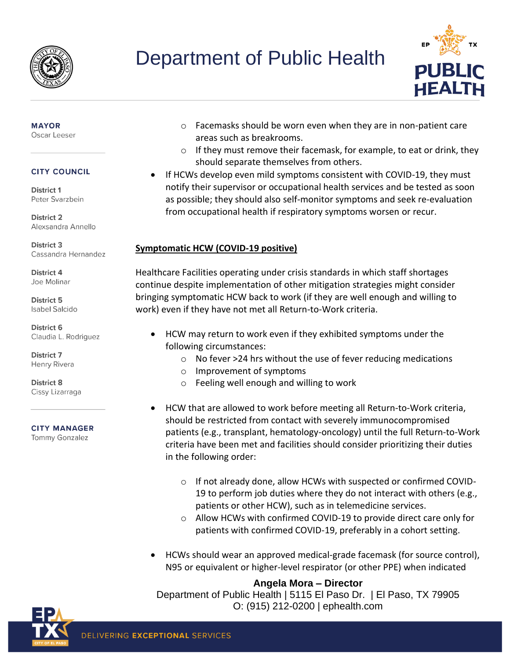

## Department of Public Health



#### **MAYOR** Oscar Leeser

#### **CITY COUNCIL**

District 1 Peter Svarzbein

**District 2** Alexsandra Annello

District 3 Cassandra Hernandez

District 4 Joe Molinar

District 5 **Isabel Salcido** 

District 6 Claudia L. Rodriguez

District 7 Henry Rivera

District 8 Cissy Lizarraga

**CITY MANAGER** 

**Tommy Gonzalez** 

- o Facemasks should be worn even when they are in non-patient care areas such as breakrooms.
- o If they must remove their facemask, for example, to eat or drink, they should separate themselves from others.
- If HCWs develop even mild symptoms consistent with COVID-19, they must notify their supervisor or occupational health services and be tested as soon as possible; they should also self-monitor symptoms and seek re-evaluation from occupational health if respiratory symptoms worsen or recur.

### **Symptomatic HCW (COVID-19 positive)**

Healthcare Facilities operating under crisis standards in which staff shortages continue despite implementation of other mitigation strategies might consider bringing symptomatic HCW back to work (if they are well enough and willing to work) even if they have not met all Return-to-Work criteria.

- HCW may return to work even if they exhibited symptoms under the following circumstances:
	- o No fever >24 hrs without the use of fever reducing medications
	- o Improvement of symptoms
	- o Feeling well enough and willing to work
- HCW that are allowed to work before meeting all Return-to-Work criteria, should be restricted from contact with severely immunocompromised patients (e.g., transplant, hematology-oncology) until the full Return-to-Work criteria have been met and facilities should consider prioritizing their duties in the following order:
	- o If not already done, allow HCWs with suspected or confirmed COVID-19 to perform job duties where they do not interact with others (e.g., patients or other HCW), such as in telemedicine services.
	- o Allow HCWs with confirmed COVID-19 to provide direct care only for patients with confirmed COVID-19, preferably in a cohort setting.
- HCWs should wear an approved medical-grade facemask (for source control), N95 or equivalent or higher-level respirator (or other PPE) when indicated

#### **Angela Mora – Director**

Department of Public Health | 5115 El Paso Dr. | El Paso, TX 79905 O: (915) 212-0200 | ephealth.com